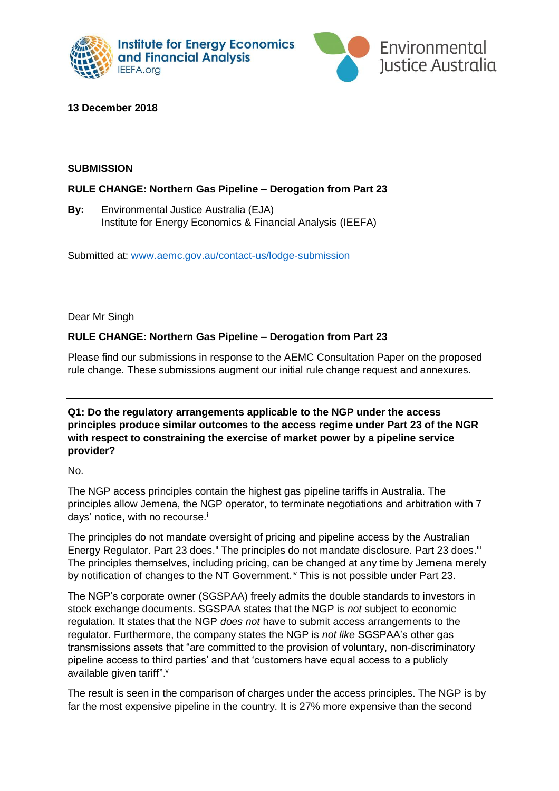



# **13 December 2018**

### **SUBMISSION**

## **RULE CHANGE: Northern Gas Pipeline – Derogation from Part 23**

**By:** Environmental Justice Australia (EJA) Institute for Energy Economics & Financial Analysis (IEEFA)

Submitted at: [www.aemc.gov.au/contact-us/lodge-submission](https://www.aemc.gov.au/contact-us/lodge-submission)

Dear Mr Singh

# **RULE CHANGE: Northern Gas Pipeline – Derogation from Part 23**

Please find our submissions in response to the AEMC Consultation Paper on the proposed rule change. These submissions augment our initial rule change request and annexures.

**Q1: Do the regulatory arrangements applicable to the NGP under the access principles produce similar outcomes to the access regime under Part 23 of the NGR with respect to constraining the exercise of market power by a pipeline service provider?**

No.

The NGP access principles contain the highest gas pipeline tariffs in Australia. The principles allow Jemena, the NGP operator, to terminate negotiations and arbitration with 7 days' notice, with no recourse.<sup>i</sup>

The principles do not mandate oversight of pricing and pipeline access by the Australian Energy Regulator. Part 23 does.<sup>ii</sup> The principles do not mandate disclosure. Part 23 does.<sup>iii</sup> The principles themselves, including pricing, can be changed at any time by Jemena merely by notification of changes to the NT Government.<sup>iv</sup> This is not possible under Part 23.

The NGP's corporate owner (SGSPAA) freely admits the double standards to investors in stock exchange documents. SGSPAA states that the NGP is *not* subject to economic regulation. It states that the NGP *does not* have to submit access arrangements to the regulator. Furthermore, the company states the NGP is *not like* SGSPAA's other gas transmissions assets that "are committed to the provision of voluntary, non-discriminatory pipeline access to third parties' and that 'customers have equal access to a publicly available given tariff".<sup>v</sup>

The result is seen in the comparison of charges under the access principles. The NGP is by far the most expensive pipeline in the country. It is 27% more expensive than the second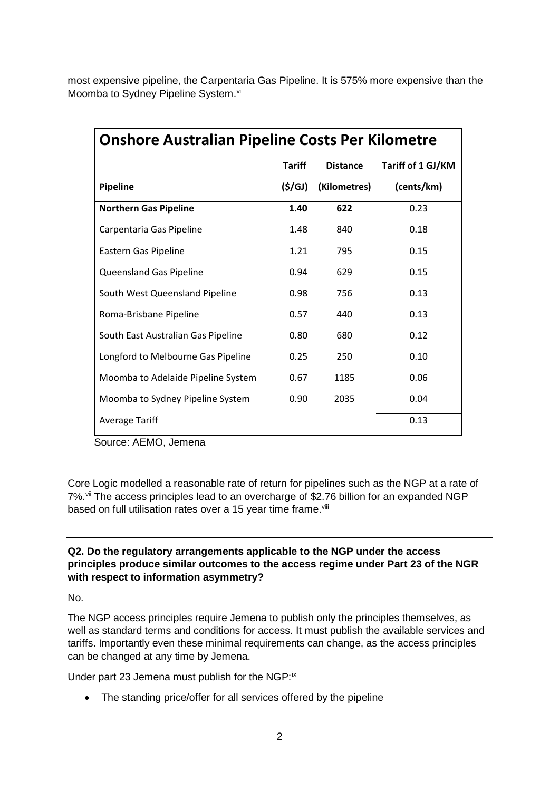most expensive pipeline, the Carpentaria Gas Pipeline. It is 575% more expensive than the Moomba to Sydney Pipeline System.vi

| <b>Onshore Australian Pipeline Costs Per Kilometre</b> |               |                 |                   |
|--------------------------------------------------------|---------------|-----------------|-------------------|
|                                                        | <b>Tariff</b> | <b>Distance</b> | Tariff of 1 GJ/KM |
| <b>Pipeline</b>                                        | (\$/GJ)       | (Kilometres)    | (cents/km)        |
| <b>Northern Gas Pipeline</b>                           | 1.40          | 622             | 0.23              |
| Carpentaria Gas Pipeline                               | 1.48          | 840             | 0.18              |
| Eastern Gas Pipeline                                   | 1.21          | 795             | 0.15              |
| Queensland Gas Pipeline                                | 0.94          | 629             | 0.15              |
| South West Queensland Pipeline                         | 0.98          | 756             | 0.13              |
| Roma-Brisbane Pipeline                                 | 0.57          | 440             | 0.13              |
| South East Australian Gas Pipeline                     | 0.80          | 680             | 0.12              |
| Longford to Melbourne Gas Pipeline                     | 0.25          | 250             | 0.10              |
| Moomba to Adelaide Pipeline System                     | 0.67          | 1185            | 0.06              |
| Moomba to Sydney Pipeline System                       | 0.90          | 2035            | 0.04              |
| <b>Average Tariff</b>                                  |               |                 | 0.13              |

Source: AEMO, Jemena

Core Logic modelled a reasonable rate of return for pipelines such as the NGP at a rate of 7%.<sup>vii</sup> The access principles lead to an overcharge of \$2.76 billion for an expanded NGP based on full utilisation rates over a 15 year time frame.<sup>viii</sup>

## **Q2. Do the regulatory arrangements applicable to the NGP under the access principles produce similar outcomes to the access regime under Part 23 of the NGR with respect to information asymmetry?**

No.

The NGP access principles require Jemena to publish only the principles themselves, as well as standard terms and conditions for access. It must publish the available services and tariffs. Importantly even these minimal requirements can change, as the access principles can be changed at any time by Jemena.

Under part 23 Jemena must publish for the NGP: $i<sup>x</sup>$ 

• The standing price/offer for all services offered by the pipeline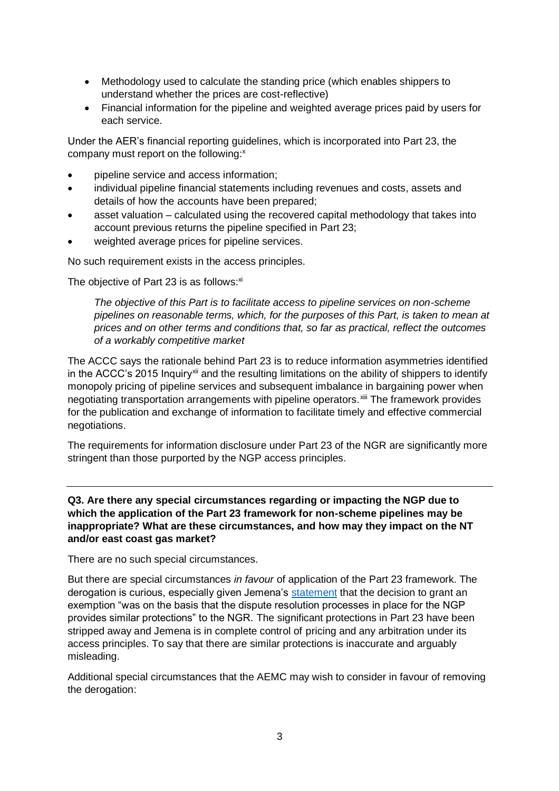- Methodology used to calculate the standing price (which enables shippers to understand whether the prices are cost-reflective)
- Financial information for the pipeline and weighted average prices paid by users for each service.

Under the AER's financial reporting guidelines, which is incorporated into Part 23, the company must report on the following:<sup>x</sup>

- pipeline service and access information;
- individual pipeline financial statements including revenues and costs, assets and details of how the accounts have been prepared;
- asset valuation calculated using the recovered capital methodology that takes into account previous returns the pipeline specified in Part 23;
- weighted average prices for pipeline services.

No such requirement exists in the access principles.

The objective of Part 23 is as follows: $xi$ 

*The objective of this Part is to facilitate access to pipeline services on non-scheme pipelines on reasonable terms, which, for the purposes of this Part, is taken to mean at prices and on other terms and conditions that, so far as practical, reflect the outcomes of a workably competitive market*

The ACCC says the rationale behind Part 23 is to reduce information asymmetries identified in the ACCC's 2015 Inquiry<sup>xii</sup> and the resulting limitations on the ability of shippers to identify monopoly pricing of pipeline services and subsequent imbalance in bargaining power when negotiating transportation arrangements with pipeline operators.<sup>xiii</sup> The framework provides for the publication and exchange of information to facilitate timely and effective commercial negotiations.

The requirements for information disclosure under Part 23 of the NGR are significantly more stringent than those purported by the NGP access principles.

**Q3. Are there any special circumstances regarding or impacting the NGP due to which the application of the Part 23 framework for non-scheme pipelines may be inappropriate? What are these circumstances, and how may they impact on the NT and/or east coast gas market?**

There are no such special circumstances.

But there are special circumstances *in favour* of application of the Part 23 framework. The derogation is curious, especially given Jemena's [statement](https://www.esdnews.com.au/backlash-jemena-national-gas-rules/) that the decision to grant an exemption "was on the basis that the dispute resolution processes in place for the NGP provides similar protections" to the NGR. The significant protections in Part 23 have been stripped away and Jemena is in complete control of pricing and any arbitration under its access principles. To say that there are similar protections is inaccurate and arguably misleading.

Additional special circumstances that the AEMC may wish to consider in favour of removing the derogation: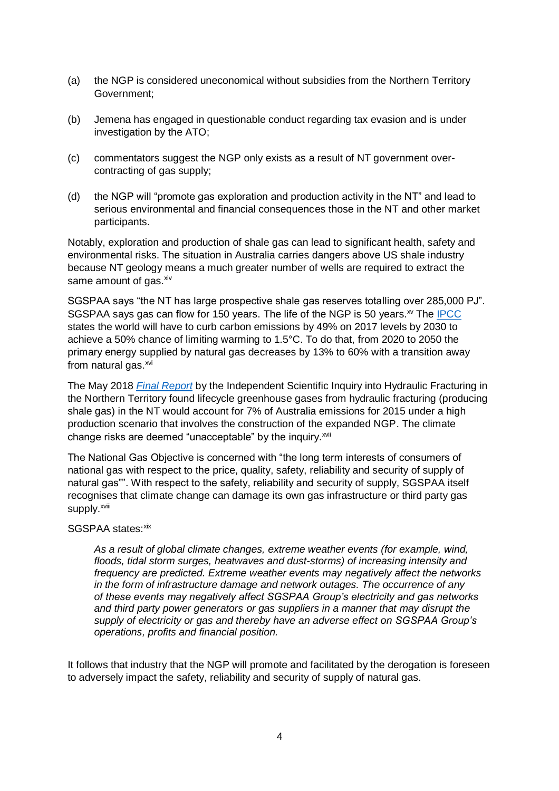- (a) the NGP is considered uneconomical without subsidies from the Northern Territory Government;
- (b) Jemena has engaged in questionable conduct regarding tax evasion and is under investigation by the ATO;
- (c) commentators suggest the NGP only exists as a result of NT government overcontracting of gas supply;
- (d) the NGP will "promote gas exploration and production activity in the NT" and lead to serious environmental and financial consequences those in the NT and other market participants.

Notably, exploration and production of shale gas can lead to significant health, safety and environmental risks. The situation in Australia carries dangers above US shale industry because NT geology means a much greater number of wells are required to extract the same amount of gas. xiv

SGSPAA says "the NT has large prospective shale gas reserves totalling over 285,000 PJ". SGSPAA says gas can flow for 150 years. The life of the NGP is 50 years. $\mathrm{w}$  The [IPCC](https://www.ipcc.ch/sr15/) states the world will have to curb carbon emissions by 49% on 2017 levels by 2030 to achieve a 50% chance of limiting warming to 1.5°C. To do that, from 2020 to 2050 the primary energy supplied by natural gas decreases by 13% to 60% with a transition away from natural gas.<sup>xvi</sup>

The May 2018 *[Final Report](https://frackinginquiry.nt.gov.au/)* by the Independent Scientific Inquiry into Hydraulic Fracturing in the Northern Territory found lifecycle greenhouse gases from hydraulic fracturing (producing shale gas) in the NT would account for 7% of Australia emissions for 2015 under a high production scenario that involves the construction of the expanded NGP. The climate change risks are deemed "unacceptable" by the inquiry.<sup>xvii</sup>

The National Gas Objective is concerned with "the long term interests of consumers of national gas with respect to the price, quality, safety, reliability and security of supply of natural gas"". With respect to the safety, reliability and security of supply, SGSPAA itself recognises that climate change can damage its own gas infrastructure or third party gas supply.<sup>xviii</sup>

#### SGSPAA states: xix

*As a result of global climate changes, extreme weather events (for example, wind, floods, tidal storm surges, heatwaves and dust-storms) of increasing intensity and frequency are predicted. Extreme weather events may negatively affect the networks in the form of infrastructure damage and network outages. The occurrence of any of these events may negatively affect SGSPAA Group's electricity and gas networks and third party power generators or gas suppliers in a manner that may disrupt the supply of electricity or gas and thereby have an adverse effect on SGSPAA Group's operations, profits and financial position.* 

It follows that industry that the NGP will promote and facilitated by the derogation is foreseen to adversely impact the safety, reliability and security of supply of natural gas.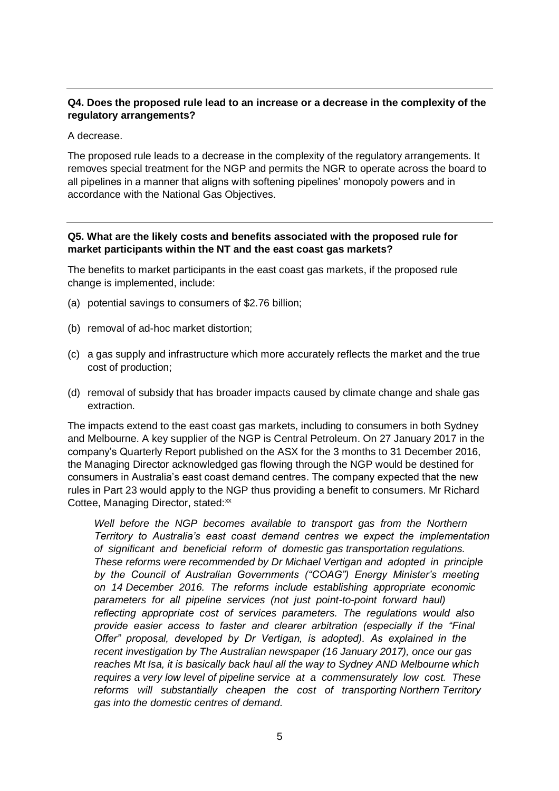# **Q4. Does the proposed rule lead to an increase or a decrease in the complexity of the regulatory arrangements?**

A decrease.

The proposed rule leads to a decrease in the complexity of the regulatory arrangements. It removes special treatment for the NGP and permits the NGR to operate across the board to all pipelines in a manner that aligns with softening pipelines' monopoly powers and in accordance with the National Gas Objectives.

### **Q5. What are the likely costs and benefits associated with the proposed rule for market participants within the NT and the east coast gas markets?**

The benefits to market participants in the east coast gas markets, if the proposed rule change is implemented, include:

- (a) potential savings to consumers of \$2.76 billion;
- (b) removal of ad-hoc market distortion;
- (c) a gas supply and infrastructure which more accurately reflects the market and the true cost of production;
- (d) removal of subsidy that has broader impacts caused by climate change and shale gas extraction.

The impacts extend to the east coast gas markets, including to consumers in both Sydney and Melbourne. A key supplier of the NGP is Central Petroleum. On 27 January 2017 in the company's Quarterly Report published on the ASX for the 3 months to 31 December 2016, the Managing Director acknowledged gas flowing through the NGP would be destined for consumers in Australia's east coast demand centres. The company expected that the new rules in Part 23 would apply to the NGP thus providing a benefit to consumers. Mr Richard Cottee, Managing Director, stated:<sup>xx</sup>

*Well before the NGP becomes available to transport gas from the Northern Territory to Australia's east coast demand centres we expect the implementation of significant and beneficial reform of domestic gas transportation regulations. These reforms were recommended by Dr Michael Vertigan and adopted in principle by the Council of Australian Governments ("COAG") Energy Minister's meeting on 14 December 2016. The reforms include establishing appropriate economic parameters for all pipeline services (not just point-to-point forward haul) reflecting appropriate cost of services parameters. The regulations would also provide easier access to faster and clearer arbitration (especially if the "Final Offer" proposal, developed by Dr Vertigan, is adopted). As explained in the recent investigation by The Australian newspaper (16 January 2017), once our gas reaches Mt Isa, it is basically back haul all the way to Sydney AND Melbourne which requires a very low level of pipeline service at a commensurately low cost. These reforms will substantially cheapen the cost of transporting Northern Territory gas into the domestic centres of demand.*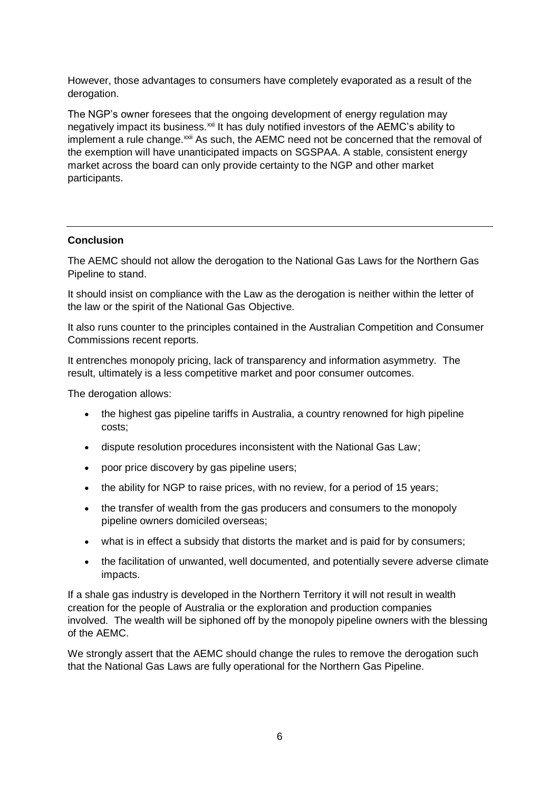However, those advantages to consumers have completely evaporated as a result of the derogation.

The NGP's owner foresees that the ongoing development of energy regulation may negatively impact its business.<sup>xxi</sup> It has duly notified investors of the AEMC's ability to implement a rule change.<sup>xxii</sup> As such, the AEMC need not be concerned that the removal of the exemption will have unanticipated impacts on SGSPAA. A stable, consistent energy market across the board can only provide certainty to the NGP and other market participants.

#### **Conclusion**

The AEMC should not allow the derogation to the National Gas Laws for the Northern Gas Pipeline to stand.

It should insist on compliance with the Law as the derogation is neither within the letter of the law or the spirit of the National Gas Objective.

It also runs counter to the principles contained in the Australian Competition and Consumer Commissions recent reports.

It entrenches monopoly pricing, lack of transparency and information asymmetry. The result, ultimately is a less competitive market and poor consumer outcomes.

The derogation allows:

- the highest gas pipeline tariffs in Australia, a country renowned for high pipeline costs;
- dispute resolution procedures inconsistent with the National Gas Law;
- poor price discovery by gas pipeline users;
- the ability for NGP to raise prices, with no review, for a period of 15 years;
- the transfer of wealth from the gas producers and consumers to the monopoly pipeline owners domiciled overseas;
- what is in effect a subsidy that distorts the market and is paid for by consumers;
- the facilitation of unwanted, well documented, and potentially severe adverse climate impacts.

If a shale gas industry is developed in the Northern Territory it will not result in wealth creation for the people of Australia or the exploration and production companies involved. The wealth will be siphoned off by the monopoly pipeline owners with the blessing of the AEMC.

We strongly assert that the AEMC should change the rules to remove the derogation such that the National Gas Laws are fully operational for the Northern Gas Pipeline.